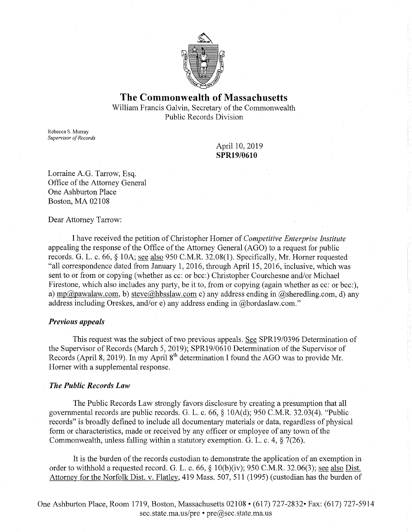

# **The Commonwealth of Massachusetts**

William Francis Galvin, Secretary of the Commonwealth Public Records Division

Rebecca S. Murray *Supervisor of Records* 

> April 10, 2019 **SPR19/0610**

Lorraine A.G. Tarrow, Esq. Office of the Attorney General One Ashburton Place Boston, MA 02108

Dear Attorney Tarrow:

I have received the petition of Christopher Horner of *Competitive Enterprise Institute*  appealing the response of the Office of the Attorney General (AGO) to a request for public records. G. L. c. 66, § l0A; see also 950 C.M.R. 32.08(1). Specifically, Mr. Horner requested "all correspondence dated from January 1, 2016, through April 15, 2016, inclusive, which was sent to or from or copying (whether as cc: or bee:) Christopher Courchesne and/or Michael Firestone, which also includes any party, be it to, from or copying (again whether as cc: or bcc:), a) mp@pawalaw.com, b) steve@hbsslaw.com c) any address ending in @sheredling.com, d) any address including Oreskes, and/ore) any address ending in  $@$  bordaslaw.com."

### *Previous appeals*

This request was the subject of two previous appeals. See SPR19/0396 Determination of the Supervisor of Records (March 5, 2019); SPR19/0610 Determination of the Supervisor of Records (April 8, 2019). In my April  $8<sup>th</sup>$  determination I found the AGO was to provide Mr. Horner with a supplemental response.

#### *The Public Records Law*

The Public Records Law strongly favors disclosure by creating a presumption that all governmental records are public records. G. L. c. 66, § 10A(d); 950 C.M.R. 32.03(4). "Public records" is broadly defined to include all documentary materials or data, regardless of physical form or characteristics, made or received by any officer or employee of any town of the Commonwealth, unless falling within a statutory exemption. G. L. c. 4, § 7(26).

It is the burden of the records custodian to demonstrate the application of an exemption in order to withhold a requested record. G. L. c. 66, § IO(b)(iv); 950 C.M.R. 32.06(3); see also Dist. Attorney for the Norfolk Dist. v. Flatley, 419 Mass. 507, 511 (1995) (custodian has the burden of

One Ashburton Place, Room 1719, Boston, Massachusetts 02108 • (617) 727-2832• Fax: (617) 727-5914 sec.state.ma.us/pre • pre@sec.state.ma.us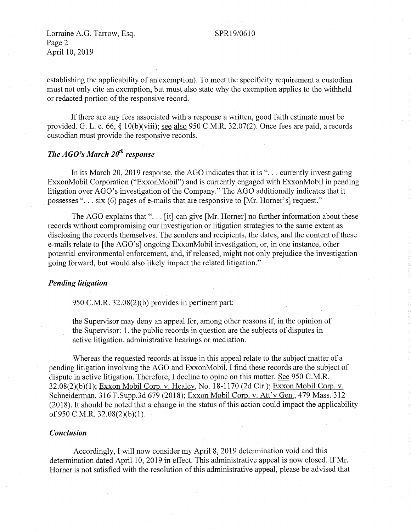### SPR19/0610

Lorraine A.G. Tarrow, Esq. Page 2 April 10, 2019

establishing the applicability of an exemption). To meet the specificity requirement a custodian must not only cite an exemption, but must also state why the exemption applies to the withheld or redacted portion of the responsive record.

If there are any fees associated with a response a written, good faith estimate must be provided. G. L. c. 66, § l0(b)(viii); see also 950 C.M.R. 32.07(2). Once fees are paid, a records custodian must provide the responsive records.

# *The AGO's March 20<sup>th</sup> response*

In its March 20, 2019 response, the AGO indicates that it is " $\ldots$  currently investigating ExxonMobil Corporation ("ExxonMobil") and is currently engaged with ExxonMobil in pending litigation over AGO's investigation of the Company." The AGO additionally indicates that it possesses "... six (6) pages of e-mails that are responsive to [Mr. Horner's] request."

The AGO explains that " $\dots$  [it] can give [Mr. Horner] no further information about these records without compromising our investigation or litigation strategies to the same extent as disclosing the records themselves. The senders and recipients, the dates, and the content of these e-mails relate to [the AGO's] ongoing ExxonMobil investigation, or, in one instance, other potential environmental enforcement, and, if released, might not only prejudice the investigation going forward, but would also likely impact the related litigation."

### *Pending litigation*

950 C.M.R. 32.08(2)(b) provides in pertinent part:

the Supervisor may deny an appeal for, among other reasons if, in the opinion of the Supervisor: **1.** the public records in question are the subjects of disputes in active litigation, administrative hearings or mediation.

Whereas the requested records at issue in this appeal relate to the subject matter of a pending litigation involving the AGO and ExxonMobil, I find these records are the subject of dispute in active litigation. Therefore, I decline to opine on this matter. See 950 C.M.R. 32.08(2)(b)(l); Exxon Mobil Corp. v. Healey, No. 18-1170 (2d Cir.); Exxon Mobil Corp. v. Schneiderman, 316 F.Supp.3d 679 (2018); Exxon Mobil Corp. v. Att'y Gen., 479 Mass. 312 (2018). It should be noted that a change in the status of this action could impact the applicability of 950 C.M.R. 32.08(2)(b)(l).

### *Conclusion*

Accordingly, I will now consider my April 8, 2019 determination void and this determination dated April 10, 2019 in effect. This administrative appeal is now closed. If Mr. Horner is not satisfied with the resolution of this administrative appeal, please be advised that